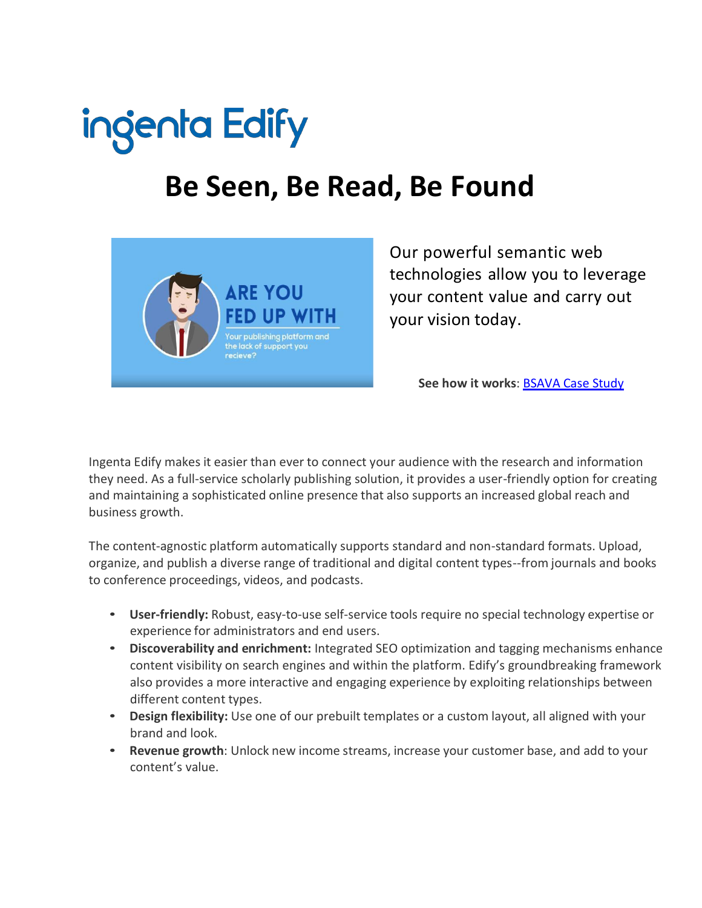

# **Be Seen, Be Read, Be Found**



Our powerful semantic web technologies allow you to leverage your content value and carry out your vision today.

**See how it works**: [BSAVA](https://www.ingenta.com/products/content-management/ingenta-edify/ingenta-edify-bsava-case-study/) Case Study

Ingenta Edify makes it easier than ever to connect your audience with the research and information they need. As a full-service scholarly publishing solution, it provides a user-friendly option for creating and maintaining a sophisticated online presence that also supports an increased global reach and business growth.

The content-agnostic platform automatically supports standard and non-standard formats. Upload, organize, and publish a diverse range of traditional and digital content types--from journals and books to conference proceedings, videos, and podcasts.

- **User-friendly:** Robust, easy-to-use self-service tools require no special technology expertise or experience for administrators and end users.
- **Discoverability and enrichment:** Integrated SEO optimization and tagging mechanisms enhance content visibility on search engines and within the platform. Edify's groundbreaking framework also provides a more interactive and engaging experience by exploiting relationships between different content types.
- **Design flexibility:** Use one of our prebuilt templates or a custom layout, all aligned with your brand and look.
- **Revenue growth**: Unlock new income streams, increase your customer base, and add to your content's value.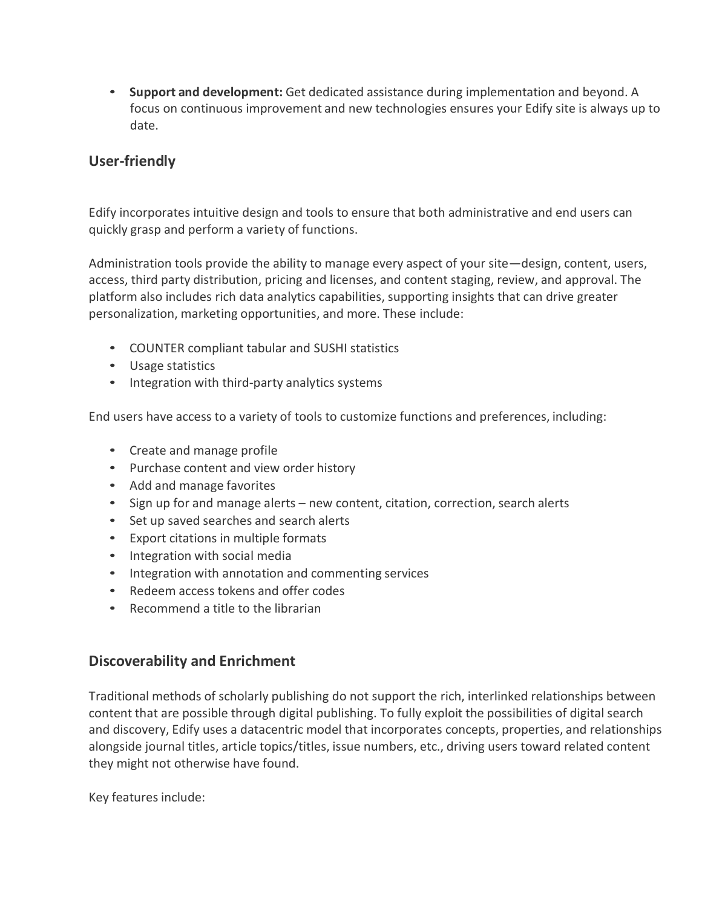• **Support and development:** Get dedicated assistance during implementation and beyond. A focus on continuous improvement and new technologies ensures your Edify site is always up to date.

## **User-friendly**

Edify incorporates intuitive design and tools to ensure that both administrative and end users can quickly grasp and perform a variety of functions.

Administration tools provide the ability to manage every aspect of your site—design, content, users, access, third party distribution, pricing and licenses, and content staging, review, and approval. The platform also includes rich data analytics capabilities, supporting insights that can drive greater personalization, marketing opportunities, and more. These include:

- COUNTER compliant tabular and SUSHI statistics
- Usage statistics
- Integration with third-party analytics systems

End users have access to a variety of tools to customize functions and preferences, including:

- Create and manage profile
- Purchase content and view order history
- Add and manage favorites
- Sign up for and manage alerts new content, citation, correction, search alerts
- Set up saved searches and search alerts
- Export citations in multiple formats
- Integration with social media
- Integration with annotation and commenting services
- Redeem access tokens and offer codes
- Recommend a title to the librarian

# **Discoverability and Enrichment**

Traditional methods of scholarly publishing do not support the rich, interlinked relationships between content that are possible through digital publishing. To fully exploit the possibilities of digital search and discovery, Edify uses a datacentric model that incorporates concepts, properties, and relationships alongside journal titles, article topics/titles, issue numbers, etc., driving users toward related content they might not otherwise have found.

Key features include: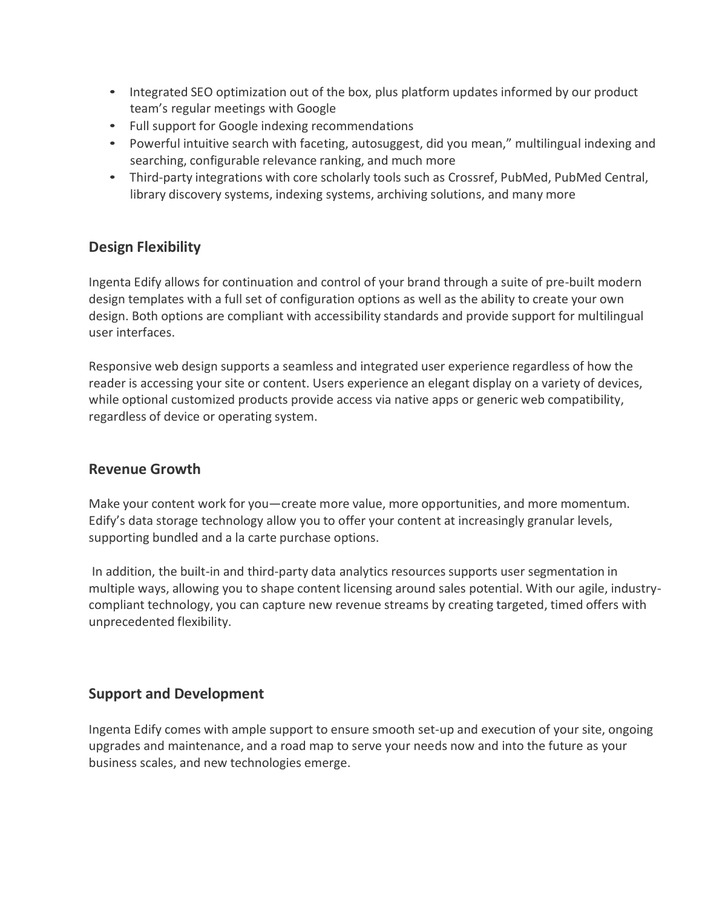- Integrated SEO optimization out of the box, plus platform updates informed by our product team's regular meetings with Google
- Full support for Google indexing recommendations
- Powerful intuitive search with faceting, autosuggest, did you mean," multilingual indexing and searching, configurable relevance ranking, and much more
- Third-party integrations with core scholarly tools such as Crossref, PubMed, PubMed Central, library discovery systems, indexing systems, archiving solutions, and many more

### **Design Flexibility**

Ingenta Edify allows for continuation and control of your brand through a suite of pre-built modern design templates with a full set of configuration options as well as the ability to create your own design. Both options are compliant with accessibility standards and provide support for multilingual user interfaces.

Responsive web design supports a seamless and integrated user experience regardless of how the reader is accessing your site or content. Users experience an elegant display on a variety of devices, while optional customized products provide access via native apps or generic web compatibility, regardless of device or operating system.

#### **Revenue Growth**

Make your content work for you—create more value, more opportunities, and more momentum. Edify's data storage technology allow you to offer your content at increasingly granular levels, supporting bundled and a la carte purchase options.

In addition, the built-in and third-party data analytics resources supports user segmentation in multiple ways, allowing you to shape content licensing around sales potential. With our agile, industrycompliant technology, you can capture new revenue streams by creating targeted, timed offers with unprecedented flexibility.

# **Support and Development**

Ingenta Edify comes with ample support to ensure smooth set-up and execution of your site, ongoing upgrades and maintenance, and a road map to serve your needs now and into the future as your business scales, and new technologies emerge.